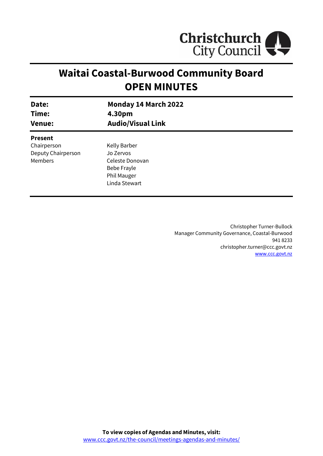

# **Waitai Coastal-Burwood Community Board OPEN MINUTES**

| Date:                                                          | Monday 14 March 2022                                                                        |
|----------------------------------------------------------------|---------------------------------------------------------------------------------------------|
| Time:                                                          | 4.30pm                                                                                      |
| <b>Venue:</b>                                                  | <b>Audio/Visual Link</b>                                                                    |
| <b>Present</b><br>Chairperson<br>Deputy Chairperson<br>Members | Kelly Barber<br>Jo Zervos<br>Celeste Donovan<br>Bebe Frayle<br>Phil Mauger<br>Linda Stewart |

Christopher Turner-Bullock Manager Community Governance, Coastal-Burwood 941 8233 christopher.turner@ccc.govt.nz [www.ccc.govt.nz](http://www.ccc.govt.nz/)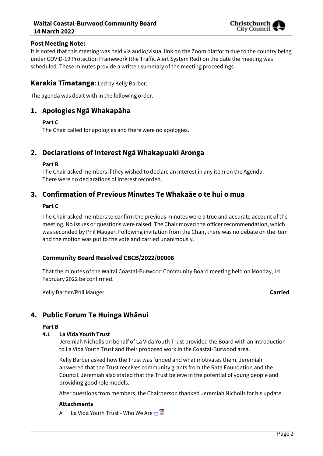#### **Waitai Coastal-Burwood Community Board 14 March 2022**



#### **Post Meeting Note:**

It is noted that this meeting was held via audio/visual link on the Zoom platform due to the country being under COVID-19 Protection Framework (the Traffic Alert System Red) on the date the meeting was scheduled. These minutes provide a written summary of the meeting proceedings.

#### **Karakia Tīmatanga**: Led by Kelly Barber.

The agenda was dealt with in the following order.

# **1. Apologies Ngā Whakapāha**

#### **Part C**

The Chair called for apologies and there were no apologies.

## **2. Declarations of Interest Ngā Whakapuaki Aronga**

#### **Part B**

The Chair asked members if they wished to declare an interest in any item on the Agenda. There were no declarations of interest recorded.

# **3. Confirmation of Previous Minutes Te Whakaāe o te hui o mua**

#### **Part C**

The Chair asked members to confirm the previous minutes were a true and accurate account of the meeting. No issues or questions were raised. The Chair moved the officer recommendation, which was seconded by Phil Mauger. Following invitation from the Chair, there was no debate on the item and the motion was put to the vote and carried unanimously.

#### **Community Board Resolved CBCB/2022/00006**

That the minutes of the Waitai Coastal-Burwood Community Board meeting held on Monday, 14 February 2022 be confirmed.

Kelly Barber/Phil Mauger **Carried**

# **4. Public Forum Te Huinga Whānui**

#### **Part B**

#### **4.1 La Vida Youth Trust**

Jeremiah Nicholls on behalf of La Vida Youth Trust provided the Board with an introduction to La Vida Youth Trust and their proposed work in the Coastal-Burwood area.

Kelly Barber asked how the Trust was funded and what motivates them. Jeremiah answered that the Trust receives community grants from the Rata Foundation and the Council. Jeremiah also stated that the Trust believe in the potential of young people and providing good role models.

After questions from members, the Chairperson thanked Jeremiah Nicholls for his update.

#### **Attachments**

A La Vida Youth Trust - Who We Are **[⇨](../../../RedirectToInvalidFileName.aspx?FileName=CBCB_20220314_MAT_7683.PDF#PAGE=3)**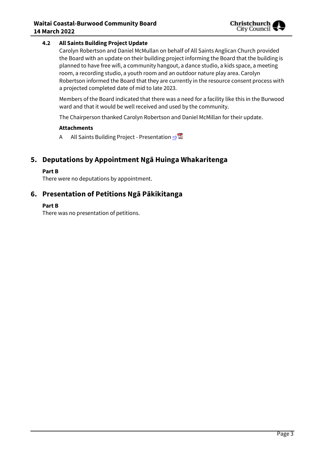#### **4.2 All Saints Building Project Update**

Carolyn Robertson and Daniel McMullan on behalf of All Saints Anglican Church provided the Board with an update on their building project informing the Board that the building is planned to have free wifi, a community hangout, a dance studio, a kids space, a meeting room, a recording studio, a youth room and an outdoor nature play area. Carolyn Robertson informed the Board that they are currently in the resource consent process with a projected completed date of mid to late 2023.

Members of the Board indicated that there was a need for a facility like this in the Burwood ward and that it would be well received and used by the community.

The Chairperson thanked Carolyn Robertson and Daniel McMillan for their update.

#### **Attachments**

A All Saints Building Project - Presentation **[⇨](../../../RedirectToInvalidFileName.aspx?FileName=CBCB_20220314_MAT_7683.PDF#PAGE=8)</u>** 

# **5. Deputations by Appointment Ngā Huinga Whakaritenga**

#### **Part B**

There were no deputations by appointment.

# **6. Presentation of Petitions Ngā Pākikitanga**

#### **Part B**

There was no presentation of petitions.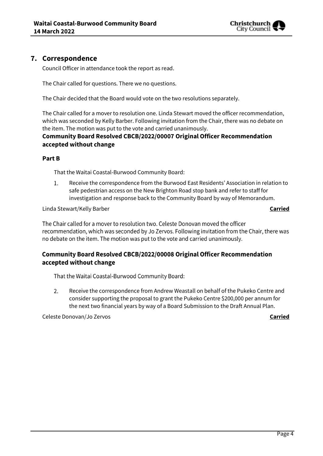

# **7. Correspondence**

Council Officer in attendance took the report as read.

The Chair called for questions. There we no questions.

The Chair decided that the Board would vote on the two resolutions separately.

The Chair called for a mover to resolution one. Linda Stewart moved the officer recommendation, which was seconded by Kelly Barber. Following invitation from the Chair, there was no debate on the item. The motion was put to the vote and carried unanimously.

### **Community Board Resolved CBCB/2022/00007 Original Officer Recommendation accepted without change**

#### **Part B**

That the Waitai Coastal-Burwood Community Board:

 $1.$ Receive the correspondence from the Burwood East Residents' Association in relation to safe pedestrian access on the New Brighton Road stop bank and refer to staff for investigation and response back to the Community Board by way of Memorandum.

Linda Stewart/Kelly Barber **Carried**

The Chair called for a mover to resolution two. Celeste Donovan moved the officer recommendation, which was seconded by Jo Zervos. Following invitation from the Chair, there was no debate on the item. The motion was put to the vote and carried unanimously.

# Community Board Resolved CBCB/2022/00008 Original Officer Recommendation accepted without change

That the Waitai Coastal-Burwood Community Board:

2. Receive the correspondence from Andrew Weastall on behalf of the Pukeko Centre and consider supporting the proposal to grant the Pukeko Centre \$200,000 per annum for the next two financial years by way of a Board Submission to the Draft Annual Plan.

Celeste Donovan/Jo Zervos **Carried**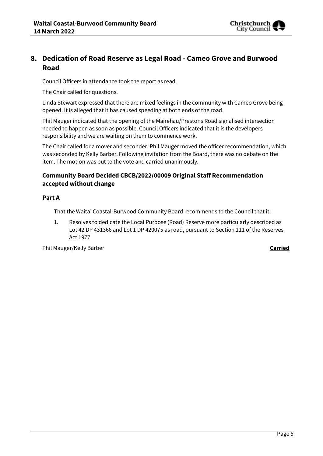

# **8. Dedication of Road Reserve as Legal Road - Cameo Grove and Burwood Road**

Council Officers in attendance took the report as read.

The Chair called for questions.

Linda Stewart expressed that there are mixed feelings in the community with Cameo Grove being opened. It is alleged that it has caused speeding at both ends of the road.

Phil Mauger indicated that the opening of the Mairehau/Prestons Road signalised intersection needed to happen as soon as possible. Council Officers indicated that it is the developers responsibility and we are waiting on them to commence work.

The Chair called for a mover and seconder. Phil Mauger moved the officer recommendation, which was seconded by Kelly Barber. Following invitation from the Board, there was no debate on the item. The motion was put to the vote and carried unanimously.

# **Community Board Decided CBCB/2022/00009 Original Staff Recommendation accepted without change**

#### **Part A**

That the Waitai Coastal-Burwood Community Board recommends to the Council that it:

1. Resolves to dedicate the Local Purpose (Road) Reserve more particularly described as Lot 42 DP 431366 and Lot 1 DP 420075 as road, pursuant to Section 111 of the Reserves Act 1977

Phil Mauger/Kelly Barber **Carried**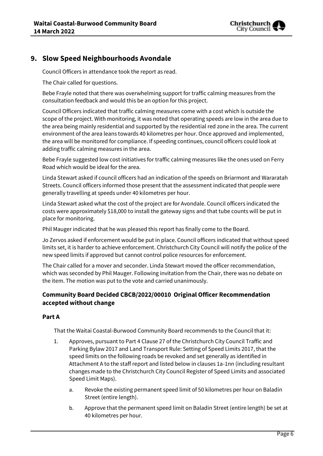

# **9. Slow Speed Neighbourhoods Avondale**

Council Officers in attendance took the report as read.

The Chair called for questions.

Bebe Frayle noted that there was overwhelming support for traffic calming measures from the consultation feedback and would this be an option for this project.

Council Officers indicated that traffic calming measures come with a cost which is outside the scope of the project. With monitoring, it was noted that operating speeds are low in the area due to the area being mainly residential and supported by the residential red zone in the area. The current environment of the area leans towards 40 kilometres per hour. Once approved and implemented, the area will be monitored for compliance. If speeding continues, council officers could look at adding traffic calming measures in the area.

Bebe Frayle suggested low cost initiatives for traffic calming measures like the ones used on Ferry Road which would be ideal for the area.

Linda Stewart asked if council officers had an indication of the speeds on Briarmont and Wararatah Streets. Council officers informed those present that the assessment indicated that people were generally travelling at speeds under 40 kilometres per hour.

Linda Stewart asked what the cost of the project are for Avondale. Council officers indicated the costs were approximately \$18,000 to install the gateway signs and that tube counts will be put in place for monitoring.

Phil Mauger indicated that he was pleased this report has finally come to the Board.

Jo Zervos asked if enforcement would be put in place. Council officers indicated that without speed limits set, it is harder to achieve enforcement. Christchurch City Council will notify the police of the new speed limits if approved but cannot control police resources for enforcement.

The Chair called for a mover and seconder. Linda Stewart moved the officer recommendation, which was seconded by Phil Mauger. Following invitation from the Chair, there was no debate on the item. The motion was put to the vote and carried unanimously.

#### **Community Board Decided CBCB/2022/00010 Original Officer Recommendation accepted without change**

#### **Part A**

That the Waitai Coastal-Burwood Community Board recommends to the Council that it:

- 1. Approves, pursuant to Part 4 Clause 27 of the Christchurch City Council Traffic and Parking Bylaw 2017 and Land Transport Rule: Setting of Speed Limits 2017, that the speed limits on the following roads be revoked and set generally as identified in Attachment A to the staff report and listed below in clauses 1a-1nn (including resultant changes made to the Christchurch City Council Register of Speed Limits and associated Speed Limit Maps).
	- a. Revoke the existing permanent speed limit of 50 kilometres per hour on Baladin Street (entire length).
	- b. Approve that the permanent speed limit on Baladin Street (entire length) be set at 40 kilometres per hour.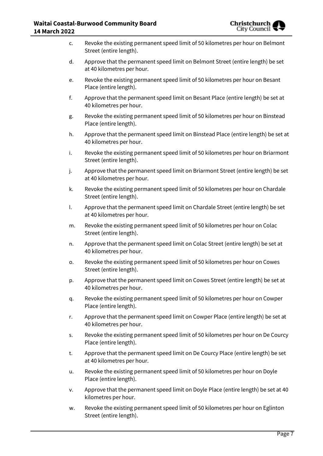c. Revoke the existing permanent speed limit of 50 kilometres per hour on Belmont Street (entire length). d. Approve that the permanent speed limit on Belmont Street (entire length) be set at 40 kilometres per hour. e. Revoke the existing permanent speed limit of 50 kilometres per hour on Besant Place (entire length). f. Approve that the permanent speed limit on Besant Place (entire length) be set at 40 kilometres per hour. g. Revoke the existing permanent speed limit of 50 kilometres per hour on Binstead Place (entire length). h. Approve that the permanent speed limit on Binstead Place (entire length) be set at 40 kilometres per hour. i. Revoke the existing permanent speed limit of 50 kilometres per hour on Briarmont Street (entire length). j. Approve that the permanent speed limit on Briarmont Street (entire length) be set at 40 kilometres per hour. k. Revoke the existing permanent speed limit of 50 kilometres per hour on Chardale Street (entire length). l. Approve that the permanent speed limit on Chardale Street (entire length) be set at 40 kilometres per hour. m. Revoke the existing permanent speed limit of 50 kilometres per hour on Colac Street (entire length). n. Approve that the permanent speed limit on Colac Street (entire length) be set at 40 kilometres per hour. o. Revoke the existing permanent speed limit of 50 kilometres per hour on Cowes Street (entire length). p. Approve that the permanent speed limit on Cowes Street (entire length) be set at 40 kilometres per hour. q. Revoke the existing permanent speed limit of 50 kilometres per hour on Cowper Place (entire length). r. Approve that the permanent speed limit on Cowper Place (entire length) be set at 40 kilometres per hour. s. Revoke the existing permanent speed limit of 50 kilometres per hour on De Courcy Place (entire length). t. Approve that the permanent speed limit on De Courcy Place (entire length) be set at 40 kilometres per hour. u. Revoke the existing permanent speed limit of 50 kilometres per hour on Doyle Place (entire length). v. Approve that the permanent speed limit on Doyle Place (entire length) be set at 40 kilometres per hour. w. Revoke the existing permanent speed limit of 50 kilometres per hour on Eglinton Street (entire length).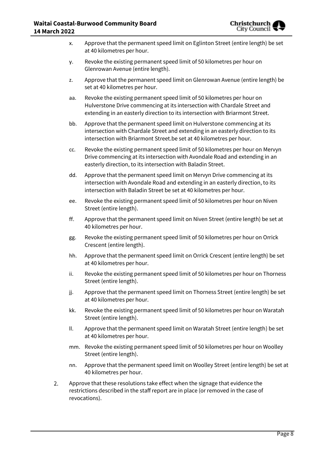

| х.  | Approve that the permanent speed limit on Eglinton Street (entire length) be set<br>at 40 kilometres per hour.                                                                                                                       |
|-----|--------------------------------------------------------------------------------------------------------------------------------------------------------------------------------------------------------------------------------------|
| у.  | Revoke the existing permanent speed limit of 50 kilometres per hour on<br>Glenrowan Avenue (entire length).                                                                                                                          |
| z.  | Approve that the permanent speed limit on Glenrowan Avenue (entire length) be<br>set at 40 kilometres per hour.                                                                                                                      |
| aa. | Revoke the existing permanent speed limit of 50 kilometres per hour on<br>Hulverstone Drive commencing at its intersection with Chardale Street and<br>extending in an easterly direction to its intersection with Briarmont Street. |
| bb. | Approve that the permanent speed limit on Hulverstone commencing at its<br>intersection with Chardale Street and extending in an easterly direction to its<br>intersection with Briarmont Street.be set at 40 kilometres per hour.   |
| CC. | Revoke the existing permanent speed limit of 50 kilometres per hour on Mervyn<br>Drive commencing at its intersection with Avondale Road and extending in an<br>easterly direction, to its intersection with Baladin Street.         |
| dd. | Approve that the permanent speed limit on Mervyn Drive commencing at its<br>intersection with Avondale Road and extending in an easterly direction, to its<br>intersection with Baladin Street be set at 40 kilometres per hour.     |
| ee. | Revoke the existing permanent speed limit of 50 kilometres per hour on Niven<br>Street (entire length).                                                                                                                              |
| ff. | Approve that the permanent speed limit on Niven Street (entire length) be set at<br>40 kilometres per hour.                                                                                                                          |
| gg. | Revoke the existing permanent speed limit of 50 kilometres per hour on Orrick<br>Crescent (entire length).                                                                                                                           |
| hh. | Approve that the permanent speed limit on Orrick Crescent (entire length) be set<br>at 40 kilometres per hour.                                                                                                                       |
| ii. | Revoke the existing permanent speed limit of 50 kilometres per hour on Thorness<br>Street (entire length).                                                                                                                           |
| jj. | Approve that the permanent speed limit on Thorness Street (entire length) be set<br>at 40 kilometres per hour.                                                                                                                       |
| kk. | Revoke the existing permanent speed limit of 50 kilometres per hour on Waratah<br>Street (entire length).                                                                                                                            |
| ΙΙ. | Approve that the permanent speed limit on Waratah Street (entire length) be set<br>at 40 kilometres per hour.                                                                                                                        |
|     | mm. Revoke the existing permanent speed limit of 50 kilometres per hour on Woolley<br>Street (entire length).                                                                                                                        |
| nn. | Approve that the permanent speed limit on Woolley Street (entire length) be set at<br>40 kilometres per hour.                                                                                                                        |
|     | Approve that these resolutions take effect when the signage that evidence the<br>restrictions described in the staff report are in place (or removed in the case of                                                                  |
|     |                                                                                                                                                                                                                                      |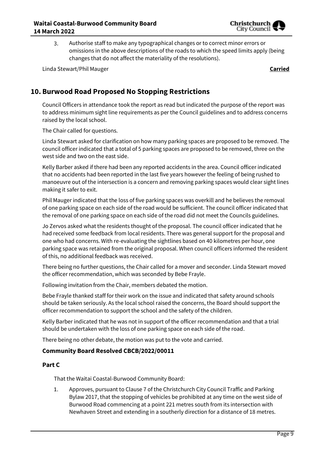

Authorise staff to make any typographical changes or to correct minor errors or 3. omissions in the above descriptions of the roads to which the speed limits apply (being changes that do not affect the materiality of the resolutions).

Linda Stewart/Phil Mauger **Carried**

# **10. Burwood Road Proposed No Stopping Restrictions**

Council Officers in attendance took the report as read but indicated the purpose of the report was to address minimum sight line requirements as per the Council guidelines and to address concerns raised by the local school.

The Chair called for questions.

Linda Stewart asked for clarification on how many parking spaces are proposed to be removed. The council officer indicated that a total of 5 parking spaces are proposed to be removed, three on the west side and two on the east side.

Kelly Barber asked if there had been any reported accidents in the area. Council officer indicated that no accidents had been reported in the last five years however the feeling of being rushed to manoeuvre out of the intersection is a concern and removing parking spaces would clear sight lines making it safer to exit.

Phil Mauger indicated that the loss of five parking spaces was overkill and he believes the removal of one parking space on each side of the road would be sufficient. The council officer indicated that the removal of one parking space on each side of the road did not meet the Councils guidelines.

Jo Zervos asked what the residents thought of the proposal. The council officer indicated that he had received some feedback from local residents. There was general support for the proposal and one who had concerns. With re-evaluating the sightlines based on 40 kilometres per hour, one parking space was retained from the original proposal. When council officers informed the resident of this, no additional feedback was received.

There being no further questions, the Chair called for a mover and seconder. Linda Stewart moved the officer recommendation, which was seconded by Bebe Frayle.

Following invitation from the Chair, members debated the motion.

Bebe Frayle thanked staff for their work on the issue and indicated that safety around schools should be taken seriously. As the local school raised the concerns, the Board should support the officer recommendation to support the school and the safety of the children.

Kelly Barber indicated that he was not in support of the officer recommendation and that a trial should be undertaken with the loss of one parking space on each side of the road.

There being no other debate, the motion was put to the vote and carried.

#### **Community Board Resolved CBCB/2022/00011**

#### **Part C**

That the Waitai Coastal-Burwood Community Board:

1. Approves, pursuant to Clause 7 of the Christchurch City Council Traffic and Parking Bylaw 2017, that the stopping of vehicles be prohibited at any time on the west side of Burwood Road commencing at a point 221 metres south from its intersection with Newhaven Street and extending in a southerly direction for a distance of 18 metres.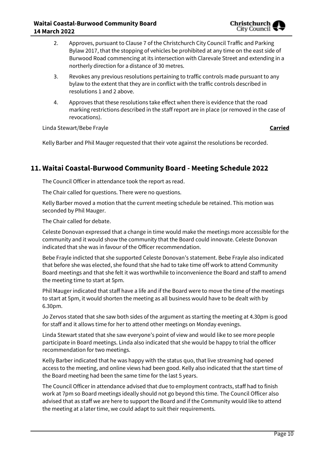

- 2. Approves, pursuant to Clause 7 of the Christchurch City Council Traffic and Parking Bylaw 2017, that the stopping of vehicles be prohibited at any time on the east side of Burwood Road commencing at its intersection with Clarevale Street and extending in a northerly direction for a distance of 30 metres.
- 3. Revokes any previous resolutions pertaining to traffic controls made pursuant to any bylaw to the extent that they are in conflict with the traffic controls described in resolutions 1 and 2 above.
- 4. Approves that these resolutions take effect when there is evidence that the road marking restrictions described in the staff report are in place (or removed in the case of revocations).

Linda Stewart/Bebe Frayle **Carried**

Kelly Barber and Phil Mauger requested that their vote against the resolutions be recorded.

# **11. Waitai Coastal-Burwood Community Board - Meeting Schedule 2022**

The Council Officer in attendance took the report as read.

The Chair called for questions. There were no questions.

Kelly Barber moved a motion that the current meeting schedule be retained. This motion was seconded by Phil Mauger.

The Chair called for debate.

Celeste Donovan expressed that a change in time would make the meetings more accessible for the community and it would show the community that the Board could innovate. Celeste Donovan indicated that she was in favour of the Officer recommendation.

Bebe Frayle indicted that she supported Celeste Donovan's statement. Bebe Frayle also indicated that before she was elected, she found that she had to take time off work to attend Community Board meetings and that she felt it was worthwhile to inconvenience the Board and staff to amend the meeting time to start at 5pm.

Phil Mauger indicated that staff have a life and if the Board were to move the time of the meetings to start at 5pm, it would shorten the meeting as all business would have to be dealt with by 6.30pm.

Jo Zervos stated that she saw both sides of the argument as starting the meeting at 4.30pm is good for staff and it allows time for her to attend other meetings on Monday evenings.

Linda Stewart stated that she saw everyone's point of view and would like to see more people participate in Board meetings. Linda also indicated that she would be happy to trial the officer recommendation for two meetings.

Kelly Barber indicated that he was happy with the status quo, that live streaming had opened access to the meeting, and online views had been good. Kelly also indicated that the start time of the Board meeting had been the same time for the last 5 years.

The Council Officer in attendance advised that due to employment contracts, staff had to finish work at 7pm so Board meetings ideally should not go beyond this time. The Council Officer also advised that as staff we are here to support the Board and if the Community would like to attend the meeting at a later time, we could adapt to suit their requirements.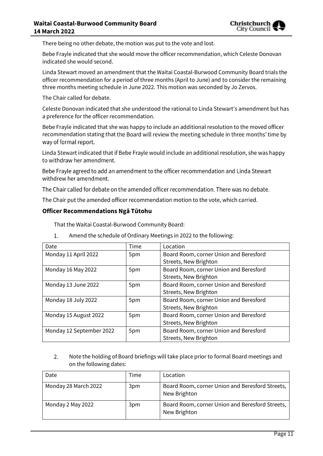There being no other debate, the motion was put to the vote and lost.

Bebe Frayle indicated that she would move the officer recommendation, which Celeste Donovan indicated she would second.

Linda Stewart moved an amendment that the Waitai Coastal-Burwood Community Board trials the officer recommendation for a period of three months (April to June) and to consider the remaining three months meeting schedule in June 2022. This motion was seconded by Jo Zervos.

The Chair called for debate.

Celeste Donovan indicated that she understood the rational to Linda Stewart's amendment but has a preference for the officer recommendation.

Bebe Frayle indicated that she was happy to include an additional resolution to the moved officer recommendation stating that the Board will review the meeting schedule in three months' time by way of formal report.

Linda Stewart indicated that if Bebe Frayle would include an additional resolution, she was happy to withdraw her amendment.

Bebe Frayle agreed to add an amendment to the officer recommendation and Linda Stewart withdrew her amendment.

The Chair called for debate on the amended officer recommendation. There was no debate.

The Chair put the amended officer recommendation motion to the vote, which carried.

#### **Officer Recommendations Ngā Tūtohu**

That the Waitai Coastal-Burwood Community Board:

- Date **Date** Time Location Monday 11 April 2022 | 5pm | Board Room, corner Union and Beresford Streets, New Brighton Monday 16 May 2022 **5pm** Board Room, corner Union and Beresford Streets, New Brighton Monday 13 June 2022 | 5pm Board Room, corner Union and Beresford Streets, New Brighton Monday 18 July 2022 **5pm** Board Room, corner Union and Beresford Streets, New Brighton Monday 15 August 2022 | 5pm Board Room, corner Union and Beresford Streets, New Brighton Monday 12 September 2022 | 5pm Board Room, corner Union and Beresford Streets, New Brighton
- $1.$ Amend the schedule of Ordinary Meetings in 2022 to the following:

2. Note the holding of Board briefings will take place prior to formal Board meetings and on the following dates:

| Date                 | Time | Location                                                        |
|----------------------|------|-----------------------------------------------------------------|
| Monday 28 March 2022 | 3pm  | Board Room, corner Union and Beresford Streets,<br>New Brighton |
| Monday 2 May 2022    | 3pm  | Board Room, corner Union and Beresford Streets,<br>New Brighton |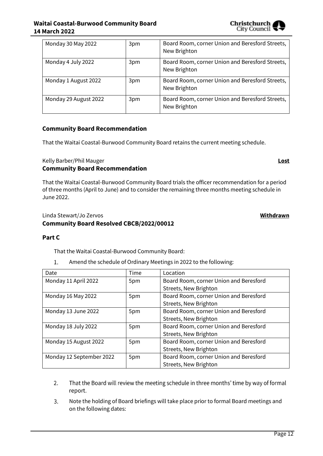## **Waitai Coastal-Burwood Community Board 14 March 2022**

| Monday 30 May 2022    | 3pm | Board Room, corner Union and Beresford Streets,<br>New Brighton |
|-----------------------|-----|-----------------------------------------------------------------|
| Monday 4 July 2022    | 3pm | Board Room, corner Union and Beresford Streets,<br>New Brighton |
| Monday 1 August 2022  | 3pm | Board Room, corner Union and Beresford Streets,<br>New Brighton |
| Monday 29 August 2022 | 3pm | Board Room, corner Union and Beresford Streets,<br>New Brighton |

#### **Community Board Recommendation**

That the Waitai Coastal-Burwood Community Board retains the current meeting schedule.

Kelly Barber/Phil Mauger **Lost**

#### **Community Board Recommendation**

That the Waitai Coastal-Burwood Community Board trials the officer recommendation for a period of three months (April to June) and to consider the remaining three months meeting schedule in June 2022.

### Linda Stewart/Jo Zervos **Withdrawn Community Board Resolved CBCB/2022/00012**

#### **Part C**

That the Waitai Coastal-Burwood Community Board:

Amend the schedule of Ordinary Meetings in 2022 to the following: 1.

| Date                     | <b>Time</b> | Location                               |
|--------------------------|-------------|----------------------------------------|
| Monday 11 April 2022     | 5pm         | Board Room, corner Union and Beresford |
|                          |             | Streets, New Brighton                  |
| Monday 16 May 2022       | 5pm         | Board Room, corner Union and Beresford |
|                          |             | Streets, New Brighton                  |
| Monday 13 June 2022      | 5pm         | Board Room, corner Union and Beresford |
|                          |             | Streets, New Brighton                  |
| Monday 18 July 2022      | 5pm         | Board Room, corner Union and Beresford |
|                          |             | Streets, New Brighton                  |
| Monday 15 August 2022    | 5pm         | Board Room, corner Union and Beresford |
|                          |             | Streets, New Brighton                  |
| Monday 12 September 2022 | 5pm         | Board Room, corner Union and Beresford |
|                          |             | Streets, New Brighton                  |

- $2.$ That the Board will review the meeting schedule in three months' time by way of formal report.
- $\overline{3}$ . Note the holding of Board briefings will take place prior to formal Board meetings and on the following dates:

Christchurch City Council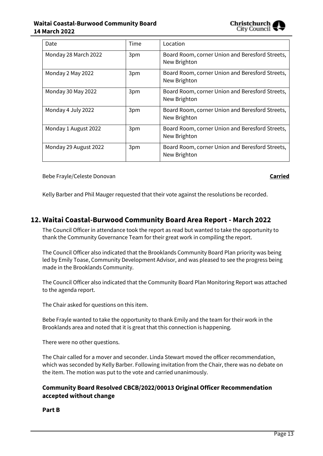#### **Waitai Coastal-Burwood Community Board 14 March 2022**



| Date                  | Time | Location                                                        |
|-----------------------|------|-----------------------------------------------------------------|
| Monday 28 March 2022  | 3pm  | Board Room, corner Union and Beresford Streets,<br>New Brighton |
| Monday 2 May 2022     | 3pm  | Board Room, corner Union and Beresford Streets,<br>New Brighton |
| Monday 30 May 2022    | 3pm  | Board Room, corner Union and Beresford Streets,<br>New Brighton |
| Monday 4 July 2022    | 3pm  | Board Room, corner Union and Beresford Streets,<br>New Brighton |
| Monday 1 August 2022  | 3pm  | Board Room, corner Union and Beresford Streets,<br>New Brighton |
| Monday 29 August 2022 | 3pm  | Board Room, corner Union and Beresford Streets,<br>New Brighton |

Bebe Frayle/Celeste Donovan **Carried**

Kelly Barber and Phil Mauger requested that their vote against the resolutions be recorded.

# **12. Waitai Coastal-Burwood Community Board Area Report - March 2022**

The Council Officer in attendance took the report as read but wanted to take the opportunity to thank the Community Governance Team for their great work in compiling the report.

The Council Officer also indicated that the Brooklands Community Board Plan priority was being led by Emily Toase, Community Development Advisor, and was pleased to see the progress being made in the Brooklands Community.

The Council Officer also indicated that the Community Board Plan Monitoring Report was attached to the agenda report.

The Chair asked for questions on this item.

Bebe Frayle wanted to take the opportunity to thank Emily and the team for their work in the Brooklands area and noted that it is great that this connection is happening.

There were no other questions.

The Chair called for a mover and seconder. Linda Stewart moved the officer recommendation, which was seconded by Kelly Barber. Following invitation from the Chair, there was no debate on the item. The motion was put to the vote and carried unanimously.

#### **Community Board Resolved CBCB/2022/00013 Original Officer Recommendation accepted without change**

**Part B**